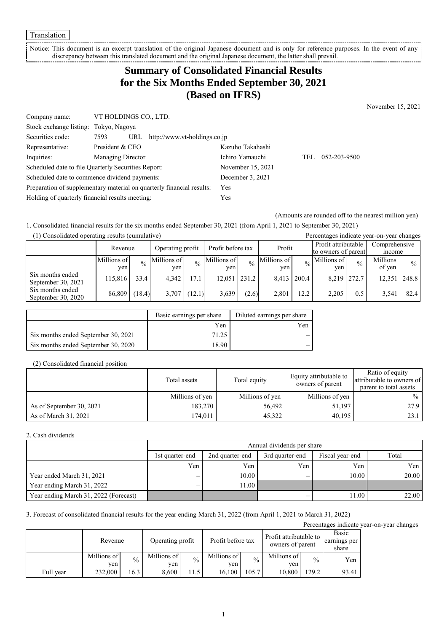Translation

Notice: This document is an excerpt translation of the original Japanese document and is only for reference purposes. In the event of any discrepancy between this translated document and the original Japanese document, the latter shall prevail. 

# **Summary of Consolidated Financial Results for the Six Months Ended September 30, 2021 (Based on IFRS)**

November 15, 2021

| Company name:                                   | VT HOLDINGS CO., LTD.                                                 |                   |     |              |
|-------------------------------------------------|-----------------------------------------------------------------------|-------------------|-----|--------------|
| Stock exchange listing: Tokyo, Nagoya           |                                                                       |                   |     |              |
| Securities code:                                | URL http://www.vt-holdings.co.jp<br>7593                              |                   |     |              |
| Representative:                                 | President & CEO                                                       | Kazuho Takahashi  |     |              |
| Inquiries:                                      | Managing Director                                                     | Ichiro Yamauchi   | TEL | 052-203-9500 |
|                                                 | Scheduled date to file Quarterly Securities Report:                   | November 15, 2021 |     |              |
|                                                 | Scheduled date to commence dividend payments:                         | December 3, 2021  |     |              |
|                                                 | Preparation of supplementary material on quarterly financial results: | <b>Yes</b>        |     |              |
| Holding of quarterly financial results meeting: |                                                                       | Yes               |     |              |

(Amounts are rounded off to the nearest million yen)

1. Consolidated financial results for the six months ended September 30, 2021 (from April 1, 2021 to September 30, 2021)

| (1) Consolidated operating results (cumulative) |                    |               |                    |               |                    |               |                    | Percentages indicate year-on-year changes |                                            |               |                                |               |
|-------------------------------------------------|--------------------|---------------|--------------------|---------------|--------------------|---------------|--------------------|-------------------------------------------|--------------------------------------------|---------------|--------------------------------|---------------|
|                                                 | Revenue            |               | Operating profit   |               | Profit before tax  |               | Profit             |                                           | Profit attributable<br>to owners of parent |               | Comprehensive<br><i>n</i> come |               |
|                                                 | Millions of<br>ven | $\frac{0}{0}$ | Millions of<br>ven | $\frac{0}{0}$ | Millions of<br>ven | $\frac{0}{0}$ | Millions of<br>ven | $\frac{0}{6}$                             | Millions of<br>ven                         | $\frac{0}{0}$ | Millions<br>of yen             | $\frac{0}{0}$ |
| Six months ended<br>September 30, 2021          | 115,816            | 33.4          | 4.342              | 17.1          | $12,051$   231.2   |               | 8.413              | 200.4                                     | 8,219 272.7                                |               | 12,351                         | 248.8         |
| Six months ended<br>September 30, 2020          | 86,809             | (18.4)        | 3,707              | (12.1)        | 3,639              | (2.6)         | 2,801              | 12.2                                      | 2.205                                      | 0.5           | 3,541                          | 82.4          |

|                                     | Basic earnings per share | Diluted earnings per share |
|-------------------------------------|--------------------------|----------------------------|
|                                     | Yen                      | Yen                        |
| Six months ended September 30, 2021 | 71.25                    |                            |
| Six months ended September 30, 2020 | 18.90                    |                            |

#### (2) Consolidated financial position

|                          | Total assets    | Total equity    | Equity attributable to<br>owners of parent | Ratio of equity<br>attributable to owners of<br>parent to total assets |
|--------------------------|-----------------|-----------------|--------------------------------------------|------------------------------------------------------------------------|
|                          | Millions of yen | Millions of yen | Millions of yen                            | $\frac{0}{0}$                                                          |
| As of September 30, 2021 | 183,270         | 56,492          | 51,197                                     | 27.9                                                                   |
| As of March 31, 2021     | 174,011         | 45,322          | 40.195                                     | 23.1                                                                   |

#### 2. Cash dividends

|                                       |                          | Annual dividends per share                                     |     |       |       |  |  |  |
|---------------------------------------|--------------------------|----------------------------------------------------------------|-----|-------|-------|--|--|--|
|                                       | 1st quarter-end          | Total<br>Fiscal year-end<br>2nd quarter-end<br>3rd quarter-end |     |       |       |  |  |  |
|                                       | Yen                      | Yen                                                            | Yen | Yen   | Yen   |  |  |  |
| Year ended March 31, 2021             | –                        | 10.00                                                          |     | 10.00 | 20.00 |  |  |  |
| Year ending March 31, 2022            | $\overline{\phantom{0}}$ | 1.00                                                           |     |       |       |  |  |  |
| Year ending March 31, 2022 (Forecast) |                          |                                                                |     | 11.00 | 22.00 |  |  |  |

3. Forecast of consolidated financial results for the year ending March 31, 2022 (from April 1, 2021 to March 31, 2022)

Percentages indicate year-on-year changes

|           | Revenue            |               |                    | Profit before tax<br>Operating profit |                    | Profit attributable to<br>owners of parent |                    | Basic<br>earnings per<br>share |       |
|-----------|--------------------|---------------|--------------------|---------------------------------------|--------------------|--------------------------------------------|--------------------|--------------------------------|-------|
|           | Millions of<br>ven | $\frac{0}{0}$ | Millions of<br>ven | $\frac{0}{0}$                         | Millions of<br>ven | $\frac{0}{0}$                              | Millions of<br>ven | $\frac{0}{0}$                  | Yen   |
| Full vear | 232,000            | 16.3          | 8,600              | 1.5                                   | 16.100             | 105.7                                      | 10.800             | 129.2                          | 93.41 |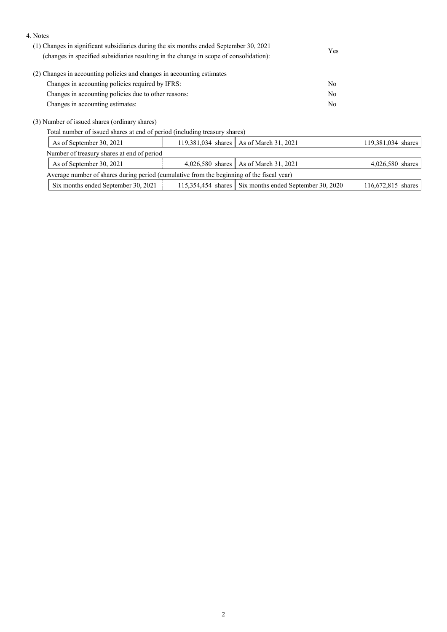#### 4. Notes

| (1) Changes in significant subsidiaries during the six months ended September 30, 2021 | Yes |
|----------------------------------------------------------------------------------------|-----|
| (changes in specified subsidiaries resulting in the change in scope of consolidation): |     |
| (2) Changes in accounting policies and changes in accounting estimates                 |     |
| Changes in accounting policies required by IFRS:                                       | No  |
| Changes in accounting policies due to other reasons:                                   | No  |
| Changes in accounting estimates:                                                       | No  |
|                                                                                        |     |

(3) Number of issued shares (ordinary shares)

Total number of issued shares at end of period (including treasury shares)

| As of September 30, 2021                                                                  |  | 119,381,034 shares   As of March 31, 2021              | 119,381,034 shares |  |  |  |
|-------------------------------------------------------------------------------------------|--|--------------------------------------------------------|--------------------|--|--|--|
| Number of treasury shares at end of period                                                |  |                                                        |                    |  |  |  |
| As of September 30, 2021                                                                  |  | 4,026,580 shares   As of March 31, 2021                | 4,026,580 shares   |  |  |  |
| Average number of shares during period (cumulative from the beginning of the fiscal year) |  |                                                        |                    |  |  |  |
| Six months ended September 30, 2021                                                       |  | 115,354,454 shares Six months ended September 30, 2020 | 116,672,815 shares |  |  |  |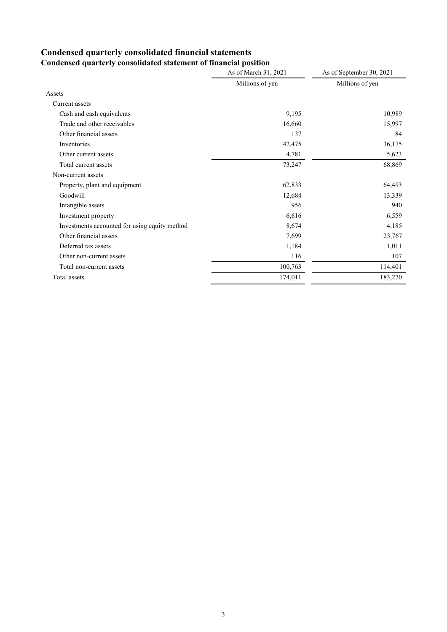#### **Condensed quarterly consolidated financial statements Condensed quarterly consolidated statement of financial position**

|                                               | As of March 31, 2021 | As of September 30, 2021 |
|-----------------------------------------------|----------------------|--------------------------|
|                                               | Millions of yen      | Millions of yen          |
| Assets                                        |                      |                          |
| Current assets                                |                      |                          |
| Cash and cash equivalents                     | 9,195                | 10,989                   |
| Trade and other receivables                   | 16,660               | 15,997                   |
| Other financial assets                        | 137                  | 84                       |
| Inventories                                   | 42,475               | 36,175                   |
| Other current assets                          | 4,781                | 5,623                    |
| Total current assets                          | 73,247               | 68,869                   |
| Non-current assets                            |                      |                          |
| Property, plant and equipment                 | 62,833               | 64,493                   |
| Goodwill                                      | 12,684               | 13,339                   |
| Intangible assets                             | 956                  | 940                      |
| Investment property                           | 6,616                | 6,559                    |
| Investments accounted for using equity method | 8,674                | 4,185                    |
| Other financial assets                        | 7,699                | 23,767                   |
| Deferred tax assets                           | 1,184                | 1,011                    |
| Other non-current assets                      | 116                  | 107                      |
| Total non-current assets                      | 100,763              | 114,401                  |
| Total assets                                  | 174,011              | 183,270                  |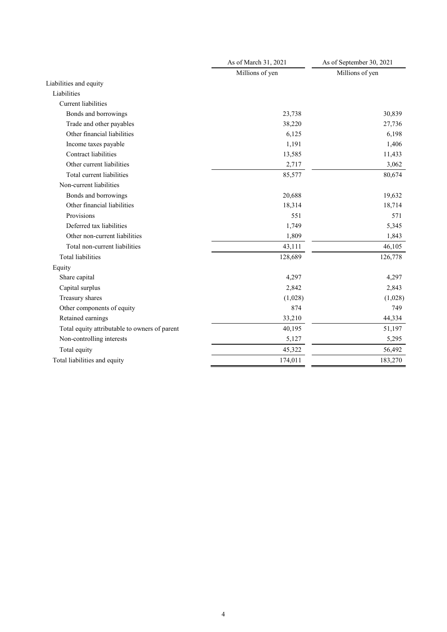|                                               | As of March 31, 2021 | As of September 30, 2021 |
|-----------------------------------------------|----------------------|--------------------------|
|                                               | Millions of yen      | Millions of yen          |
| Liabilities and equity                        |                      |                          |
| Liabilities                                   |                      |                          |
| <b>Current liabilities</b>                    |                      |                          |
| Bonds and borrowings                          | 23,738               | 30,839                   |
| Trade and other payables                      | 38,220               | 27,736                   |
| Other financial liabilities                   | 6,125                | 6,198                    |
| Income taxes payable                          | 1,191                | 1,406                    |
| Contract liabilities                          | 13,585               | 11,433                   |
| Other current liabilities                     | 2,717                | 3,062                    |
| Total current liabilities                     | 85,577               | 80,674                   |
| Non-current liabilities                       |                      |                          |
| Bonds and borrowings                          | 20,688               | 19,632                   |
| Other financial liabilities                   | 18,314               | 18,714                   |
| Provisions                                    | 551                  | 571                      |
| Deferred tax liabilities                      | 1,749                | 5,345                    |
| Other non-current liabilities                 | 1,809                | 1,843                    |
| Total non-current liabilities                 | 43,111               | 46,105                   |
| <b>Total liabilities</b>                      | 128,689              | 126,778                  |
| Equity                                        |                      |                          |
| Share capital                                 | 4,297                | 4,297                    |
| Capital surplus                               | 2,842                | 2,843                    |
| Treasury shares                               | (1,028)              | (1,028)                  |
| Other components of equity                    | 874                  | 749                      |
| Retained earnings                             | 33,210               | 44,334                   |
| Total equity attributable to owners of parent | 40,195               | 51,197                   |
| Non-controlling interests                     | 5,127                | 5,295                    |
| Total equity                                  | 45,322               | 56,492                   |
| Total liabilities and equity                  | 174,011              | 183,270                  |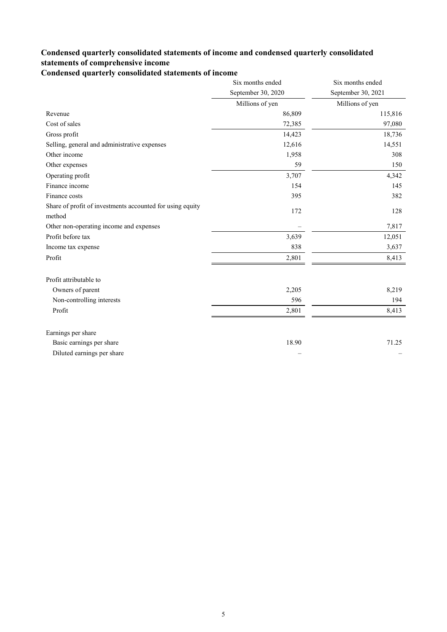### **Condensed quarterly consolidated statements of income and condensed quarterly consolidated statements of comprehensive income**

# **Condensed quarterly consolidated statements of income**

|                                                                     | Six months ended   | Six months ended   |
|---------------------------------------------------------------------|--------------------|--------------------|
|                                                                     | September 30, 2020 | September 30, 2021 |
|                                                                     | Millions of yen    | Millions of yen    |
| Revenue                                                             | 86,809             | 115,816            |
| Cost of sales                                                       | 72,385             | 97,080             |
| Gross profit                                                        | 14,423             | 18,736             |
| Selling, general and administrative expenses                        | 12,616             | 14,551             |
| Other income                                                        | 1,958              | 308                |
| Other expenses                                                      | 59                 | 150                |
| Operating profit                                                    | 3,707              | 4,342              |
| Finance income                                                      | 154                | 145                |
| Finance costs                                                       | 395                | 382                |
| Share of profit of investments accounted for using equity<br>method | 172                | 128                |
| Other non-operating income and expenses                             |                    | 7,817              |
| Profit before tax                                                   | 3,639              | 12,051             |
| Income tax expense                                                  | 838                | 3,637              |
| Profit                                                              | 2,801              | 8,413              |
| Profit attributable to                                              |                    |                    |
| Owners of parent                                                    | 2,205              | 8,219              |
| Non-controlling interests                                           | 596                | 194                |
| Profit                                                              | 2,801              | 8,413              |
| Earnings per share                                                  |                    |                    |
| Basic earnings per share                                            | 18.90              | 71.25              |
| Diluted earnings per share                                          |                    |                    |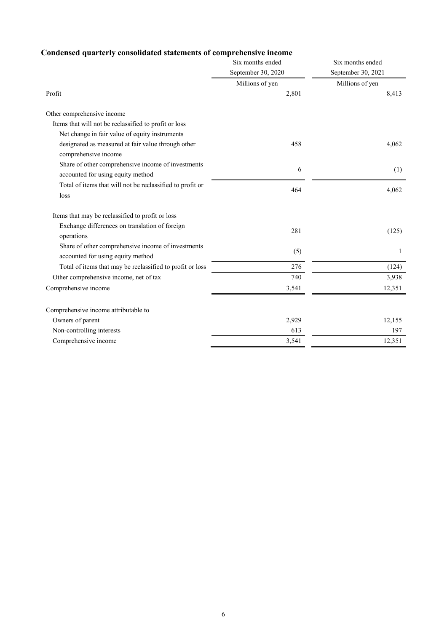# **Condensed quarterly consolidated statements of comprehensive income**

|                                                           | Six months ended   | Six months ended   |
|-----------------------------------------------------------|--------------------|--------------------|
|                                                           | September 30, 2020 | September 30, 2021 |
|                                                           | Millions of yen    | Millions of yen    |
| Profit                                                    | 2,801              | 8,413              |
| Other comprehensive income                                |                    |                    |
| Items that will not be reclassified to profit or loss     |                    |                    |
| Net change in fair value of equity instruments            |                    |                    |
| designated as measured at fair value through other        | 458                | 4,062              |
| comprehensive income                                      |                    |                    |
| Share of other comprehensive income of investments        | 6                  | (1)                |
| accounted for using equity method                         |                    |                    |
| Total of items that will not be reclassified to profit or | 464                | 4,062              |
| loss                                                      |                    |                    |
| Items that may be reclassified to profit or loss          |                    |                    |
| Exchange differences on translation of foreign            | 281                |                    |
| operations                                                |                    | (125)              |
| Share of other comprehensive income of investments        | (5)                | 1                  |
| accounted for using equity method                         |                    |                    |
| Total of items that may be reclassified to profit or loss | 276                | (124)              |
| Other comprehensive income, net of tax                    | 740                | 3,938              |
| Comprehensive income                                      | 3,541              | 12,351             |
| Comprehensive income attributable to                      |                    |                    |
| Owners of parent                                          | 2,929              | 12,155             |
| Non-controlling interests                                 | 613                | 197                |
| Comprehensive income                                      |                    |                    |
|                                                           | 3,541              | 12,351             |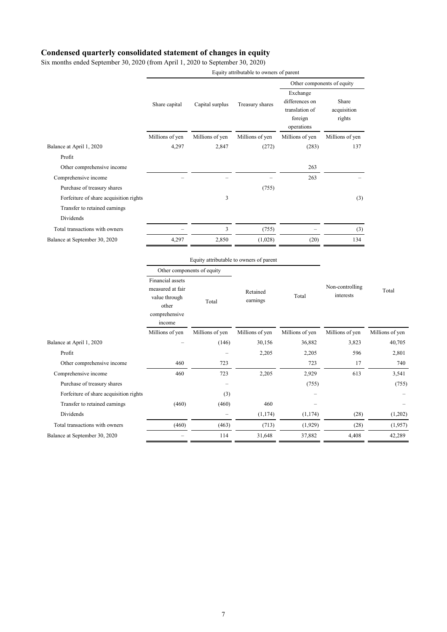### **Condensed quarterly consolidated statement of changes in equity**

Six months ended September 30, 2020 (from April 1, 2020 to September 30, 2020)

|                                            |                                                                                           |                          |                                         | Other components of equity                                            |                                |                 |
|--------------------------------------------|-------------------------------------------------------------------------------------------|--------------------------|-----------------------------------------|-----------------------------------------------------------------------|--------------------------------|-----------------|
|                                            | Share capital                                                                             | Capital surplus          | Treasury shares                         | Exchange<br>differences on<br>translation of<br>foreign<br>operations | Share<br>acquisition<br>rights |                 |
|                                            | Millions of yen                                                                           | Millions of yen          | Millions of yen                         | Millions of yen                                                       | Millions of yen                |                 |
| Balance at April 1, 2020                   | 4,297                                                                                     | 2,847                    | (272)                                   | (283)                                                                 | 137                            |                 |
| Profit                                     |                                                                                           |                          |                                         |                                                                       |                                |                 |
| Other comprehensive income                 |                                                                                           |                          |                                         | 263                                                                   |                                |                 |
| Comprehensive income                       |                                                                                           |                          |                                         | 263                                                                   |                                |                 |
| Purchase of treasury shares                |                                                                                           |                          | (755)                                   |                                                                       |                                |                 |
| Forfeiture of share acquisition rights     |                                                                                           | 3                        |                                         |                                                                       | (3)                            |                 |
| Transfer to retained earnings<br>Dividends |                                                                                           |                          |                                         |                                                                       |                                |                 |
| Total transactions with owners             |                                                                                           | $\overline{\mathbf{3}}$  |                                         |                                                                       |                                |                 |
| Balance at September 30, 2020              | 4,297                                                                                     | 2,850                    | (755)<br>(1,028)                        | (20)                                                                  | (3)<br>134                     |                 |
|                                            |                                                                                           |                          |                                         |                                                                       |                                |                 |
|                                            |                                                                                           |                          | Equity attributable to owners of parent |                                                                       |                                |                 |
|                                            | Other components of equity                                                                |                          |                                         |                                                                       |                                |                 |
|                                            | Financial assets<br>measured at fair<br>value through<br>other<br>comprehensive<br>income | Total                    | Retained<br>earnings                    | Total                                                                 | Non-controlling<br>interests   | Total           |
|                                            | Millions of yen                                                                           | Millions of yen          | Millions of yen                         | Millions of yen                                                       | Millions of yen                | Millions of yen |
| Balance at April 1, 2020                   |                                                                                           | (146)                    | 30,156                                  | 36,882                                                                | 3,823                          | 40,705          |
| Profit                                     |                                                                                           | $\overline{\phantom{a}}$ | 2,205                                   | 2,205                                                                 | 596                            | 2,801           |
| Other comprehensive income                 | 460                                                                                       | 723                      |                                         | 723                                                                   | 17                             | 740             |
| Comprehensive income                       | 460                                                                                       | 723                      | 2,205                                   | 2,929                                                                 | 613                            | 3,541           |
| Purchase of treasury shares                |                                                                                           |                          |                                         | (755)                                                                 |                                | (755)           |
| Forfeiture of share acquisition rights     |                                                                                           | (3)                      |                                         |                                                                       |                                |                 |
| Transfer to retained earnings              | (460)                                                                                     | (460)                    | 460                                     |                                                                       |                                |                 |
| Dividends                                  |                                                                                           |                          | (1, 174)                                | (1, 174)                                                              | (28)                           | (1,202)         |
| Total transactions with owners             | (460)                                                                                     | (463)                    | (713)                                   | (1,929)                                                               | (28)                           | (1,957)         |
| Balance at September 30, 2020              |                                                                                           | 114                      | 31,648                                  | 37,882                                                                | 4,408                          | 42,289          |
|                                            |                                                                                           |                          |                                         |                                                                       |                                |                 |

Equity attributable to owners of parent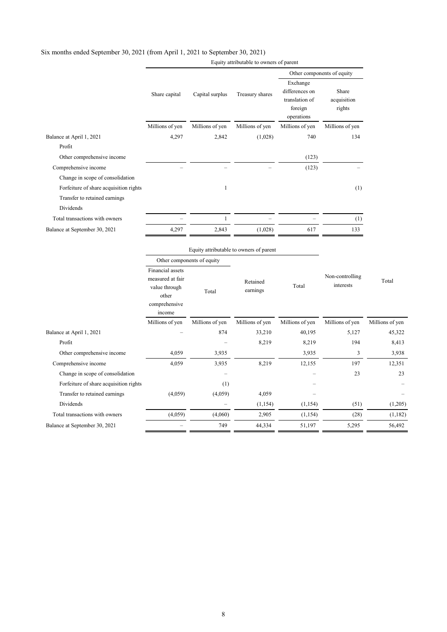### Six months ended September 30, 2021 (from April 1, 2021 to September 30, 2021)

|                                                                         |                                                                                           |                            |                                         | Other components of equity                                            |                                |                 |
|-------------------------------------------------------------------------|-------------------------------------------------------------------------------------------|----------------------------|-----------------------------------------|-----------------------------------------------------------------------|--------------------------------|-----------------|
|                                                                         | Share capital                                                                             | Capital surplus            | Treasury shares                         | Exchange<br>differences on<br>translation of<br>foreign<br>operations | Share<br>acquisition<br>rights |                 |
|                                                                         | Millions of yen                                                                           | Millions of yen            | Millions of yen                         | Millions of yen                                                       | Millions of yen                |                 |
| Balance at April 1, 2021<br>Profit                                      | 4,297                                                                                     | 2,842                      | (1,028)                                 | 740                                                                   | 134                            |                 |
| Other comprehensive income                                              |                                                                                           |                            |                                         | (123)                                                                 |                                |                 |
| Comprehensive income                                                    |                                                                                           |                            |                                         | (123)                                                                 |                                |                 |
| Change in scope of consolidation                                        |                                                                                           |                            |                                         |                                                                       |                                |                 |
| Forfeiture of share acquisition rights<br>Transfer to retained earnings |                                                                                           | 1                          |                                         |                                                                       | (1)                            |                 |
| Dividends                                                               |                                                                                           |                            |                                         |                                                                       |                                |                 |
| Total transactions with owners                                          |                                                                                           | $\mathbf{1}$               |                                         |                                                                       | (1)                            |                 |
| Balance at September 30, 2021                                           | 4,297                                                                                     | 2,843                      | (1,028)                                 | 617                                                                   | 133                            |                 |
|                                                                         |                                                                                           | Other components of equity | Equity attributable to owners of parent |                                                                       |                                |                 |
|                                                                         | Financial assets<br>measured at fair<br>value through<br>other<br>comprehensive<br>income | Total                      | Retained<br>earnings                    | Total                                                                 | Non-controlling<br>interests   | Total           |
|                                                                         | Millions of yen                                                                           | Millions of yen            | Millions of yen                         | Millions of yen                                                       | Millions of yen                | Millions of yen |
| Balance at April 1, 2021                                                |                                                                                           | 874                        | 33,210                                  | 40,195                                                                | 5,127                          | 45,322          |
| Profit                                                                  |                                                                                           |                            | 8,219                                   | 8,219                                                                 | 194                            | 8,413           |
| Other comprehensive income                                              | 4,059                                                                                     | 3,935                      |                                         | 3,935                                                                 | 3                              | 3,938           |
| Comprehensive income                                                    | 4,059                                                                                     | 3,935                      | 8,219                                   | 12,155                                                                | 197                            | 12,351          |
| Change in scope of consolidation                                        |                                                                                           |                            |                                         |                                                                       | 23                             | 23              |
| Forfeiture of share acquisition rights                                  |                                                                                           | (1)                        |                                         |                                                                       |                                |                 |
| Transfer to retained earnings                                           | (4,059)                                                                                   | (4,059)                    | 4,059                                   |                                                                       |                                |                 |
| Dividends                                                               |                                                                                           |                            | (1,154)                                 | (1, 154)                                                              | (51)                           | (1,205)         |
| Total transactions with owners                                          | (4,059)                                                                                   | (4,060)                    | 2,905                                   | (1,154)                                                               | (28)                           | (1,182)         |
| Balance at September 30, 2021                                           |                                                                                           | 749                        | 44,334                                  | 51,197                                                                | 5,295                          | 56,492          |
|                                                                         |                                                                                           |                            |                                         |                                                                       |                                |                 |

Equity attributable to owners of parent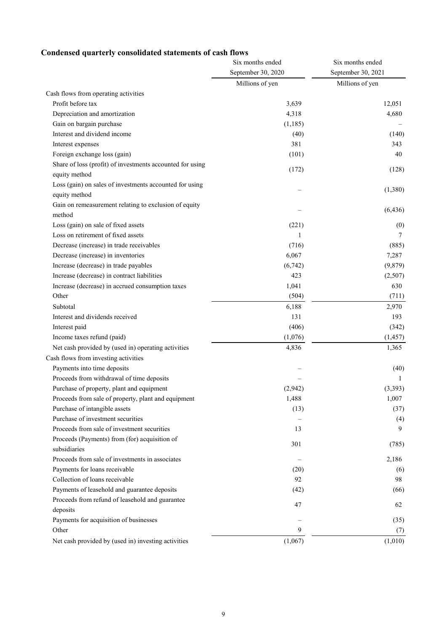# **Condensed quarterly consolidated statements of cash flows**

|                                                           | Six months ended   | Six months ended<br>September 30, 2021 |  |
|-----------------------------------------------------------|--------------------|----------------------------------------|--|
|                                                           | September 30, 2020 |                                        |  |
|                                                           | Millions of yen    | Millions of yen                        |  |
| Cash flows from operating activities                      |                    |                                        |  |
| Profit before tax                                         | 3,639              | 12,051                                 |  |
| Depreciation and amortization                             | 4,318              | 4,680                                  |  |
| Gain on bargain purchase                                  | (1,185)            |                                        |  |
| Interest and dividend income                              | (40)               | (140)                                  |  |
| Interest expenses                                         | 381                | 343                                    |  |
| Foreign exchange loss (gain)                              | (101)              | 40                                     |  |
| Share of loss (profit) of investments accounted for using |                    |                                        |  |
| equity method                                             | (172)              | (128)                                  |  |
| Loss (gain) on sales of investments accounted for using   |                    |                                        |  |
| equity method                                             |                    | (1,380)                                |  |
| Gain on remeasurement relating to exclusion of equity     |                    | (6, 436)                               |  |
| method                                                    |                    |                                        |  |
| Loss (gain) on sale of fixed assets                       | (221)              | (0)                                    |  |
| Loss on retirement of fixed assets                        | 1                  | 7                                      |  |
| Decrease (increase) in trade receivables                  | (716)              | (885)                                  |  |
| Decrease (increase) in inventories                        | 6,067              | 7,287                                  |  |
| Increase (decrease) in trade payables                     | (6,742)            | (9,879)                                |  |
| Increase (decrease) in contract liabilities               | 423                | (2,507)                                |  |
| Increase (decrease) in accrued consumption taxes          | 1,041              | 630                                    |  |
| Other                                                     | (504)              | (711)                                  |  |
| Subtotal                                                  | 6,188              | 2,970                                  |  |
| Interest and dividends received                           | 131                | 193                                    |  |
| Interest paid                                             | (406)              | (342)                                  |  |
| Income taxes refund (paid)                                | (1,076)            | (1, 457)                               |  |
| Net cash provided by (used in) operating activities       | 4,836              | 1,365                                  |  |
| Cash flows from investing activities                      |                    |                                        |  |
| Payments into time deposits                               |                    | (40)                                   |  |
| Proceeds from withdrawal of time deposits                 |                    | -1                                     |  |
| Purchase of property, plant and equipment                 | (2,942)            | (3, 393)                               |  |
| Proceeds from sale of property, plant and equipment       | 1,488              | 1,007                                  |  |
| Purchase of intangible assets                             | (13)               | (37)                                   |  |
| Purchase of investment securities                         |                    | (4)                                    |  |
| Proceeds from sale of investment securities               | 13                 | 9                                      |  |
| Proceeds (Payments) from (for) acquisition of             | 301                |                                        |  |
| subsidiaries                                              |                    | (785)                                  |  |
| Proceeds from sale of investments in associates           |                    | 2,186                                  |  |
| Payments for loans receivable                             | (20)               | (6)                                    |  |
| Collection of loans receivable                            | 92                 | 98                                     |  |
| Payments of leasehold and guarantee deposits              | (42)               | (66)                                   |  |
| Proceeds from refund of leasehold and guarantee           | 47                 | 62                                     |  |
| deposits                                                  |                    |                                        |  |
| Payments for acquisition of businesses                    |                    | (35)                                   |  |
| Other                                                     | 9                  | (7)                                    |  |
| Net cash provided by (used in) investing activities       | (1,067)            | (1,010)                                |  |